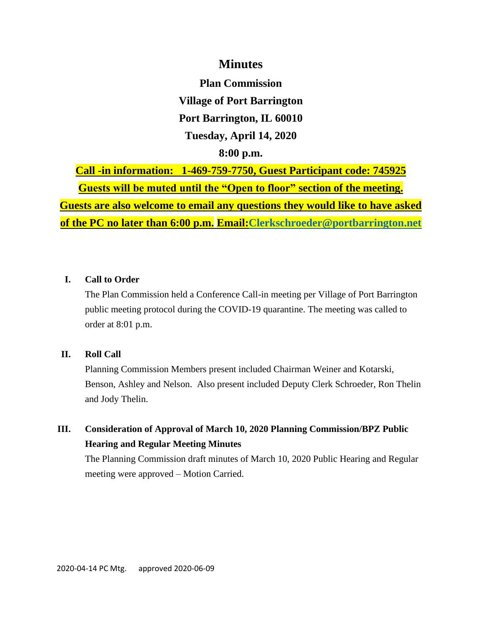## **Minutes**

**Plan Commission Village of Port Barrington Port Barrington, IL 60010 Tuesday, April 14, 2020 8:00 p.m.**

**Call -in information: 1-469-759-7750, Guest Participant code: 745925 Guests will be muted until the "Open to floor" section of the meeting. Guests are also welcome to email any questions they would like to have asked of the PC no later than 6:00 p.m. Email[:Clerkschroeder@portbarrington.net](mailto:Clerkschroeder@portbarrington.net)**

### **I. Call to Order**

The Plan Commission held a Conference Call-in meeting per Village of Port Barrington public meeting protocol during the COVID-19 quarantine. The meeting was called to order at 8:01 p.m.

### **II. Roll Call**

Planning Commission Members present included Chairman Weiner and Kotarski, Benson, Ashley and Nelson. Also present included Deputy Clerk Schroeder, Ron Thelin and Jody Thelin.

## **III. Consideration of Approval of March 10, 2020 Planning Commission/BPZ Public Hearing and Regular Meeting Minutes**

The Planning Commission draft minutes of March 10, 2020 Public Hearing and Regular meeting were approved – Motion Carried.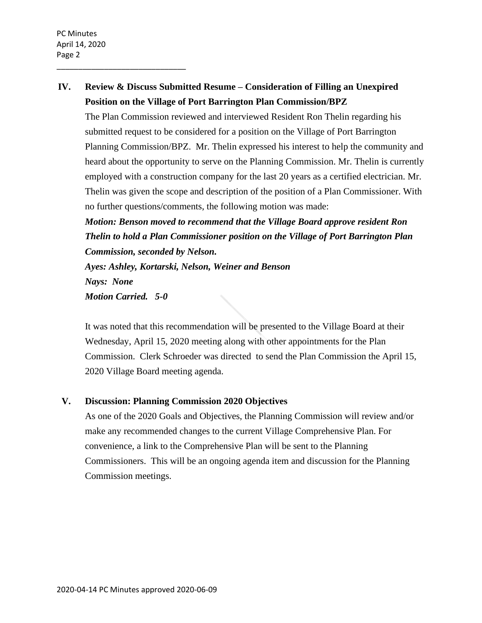\_\_\_\_\_\_\_\_\_\_\_\_\_\_\_\_\_\_\_\_\_\_\_\_\_\_\_\_\_\_

# **IV. Review & Discuss Submitted Resume – Consideration of Filling an Unexpired Position on the Village of Port Barrington Plan Commission/BPZ**

The Plan Commission reviewed and interviewed Resident Ron Thelin regarding his submitted request to be considered for a position on the Village of Port Barrington Planning Commission/BPZ. Mr. Thelin expressed his interest to help the community and heard about the opportunity to serve on the Planning Commission. Mr. Thelin is currently employed with a construction company for the last 20 years as a certified electrician. Mr. Thelin was given the scope and description of the position of a Plan Commissioner. With no further questions/comments, the following motion was made:

*Motion: Benson moved to recommend that the Village Board approve resident Ron Thelin to hold a Plan Commissioner position on the Village of Port Barrington Plan Commission, seconded by Nelson. Ayes: Ashley, Kortarski, Nelson, Weiner and Benson Nays: None Motion Carried. 5-0*

It was noted that this recommendation will be presented to the Village Board at their Wednesday, April 15, 2020 meeting along with other appointments for the Plan Commission. Clerk Schroeder was directed to send the Plan Commission the April 15, 2020 Village Board meeting agenda.

### **V. Discussion: Planning Commission 2020 Objectives**

As one of the 2020 Goals and Objectives, the Planning Commission will review and/or make any recommended changes to the current Village Comprehensive Plan. For convenience, a link to the Comprehensive Plan will be sent to the Planning Commissioners. This will be an ongoing agenda item and discussion for the Planning Commission meetings.